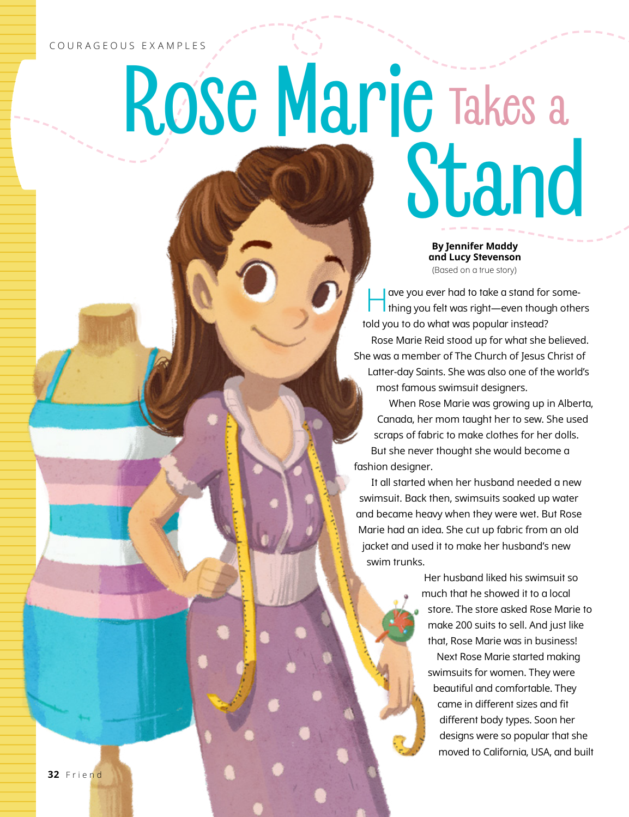## COURAGEOUS EXAMPLES

## Rose Marie Takes a Stand

**By Jennifer Maddy and Lucy Stevenson** (Based on a true story)

Have you ever had to take a stand for some-thing you felt was right—even though others told you to do what was popular instead? Rose Marie Reid stood up for what she believed. She was a member of The Church of Jesus Christ of Latter-day Saints. She was also one of the world's most famous swimsuit designers.

When Rose Marie was growing up in Alberta, Canada, her mom taught her to sew. She used scraps of fabric to make clothes for her dolls. But she never thought she would become a fashion designer.

It all started when her husband needed a new swimsuit. Back then, swimsuits soaked up water and became heavy when they were wet. But Rose Marie had an idea. She cut up fabric from an old jacket and used it to make her husband's new swim trunks.

> Her husband liked his swimsuit so much that he showed it to a local store. The store asked Rose Marie to make 200 suits to sell. And just like that, Rose Marie was in business! Next Rose Marie started making swimsuits for women. They were beautiful and comfortable. They came in different sizes and fit different body types. Soon her designs were so popular that she moved to California, USA, and built